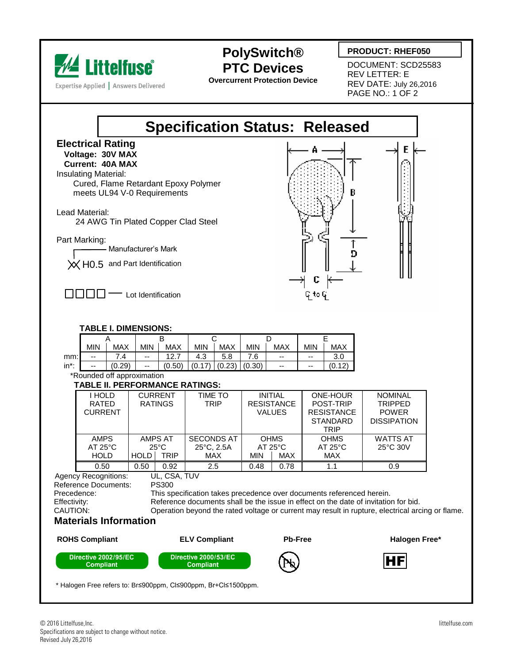

Expertise Applied | Answers Delivered

## **PolySwitch® PTC Devices**

**Overcurrent Protection Device**

## **PRODUCT: RHEF050**

DOCUMENT: SCD25583 REV LETTER: E REV DATE: July 26,2016 PAGE NO.: 1 OF 2